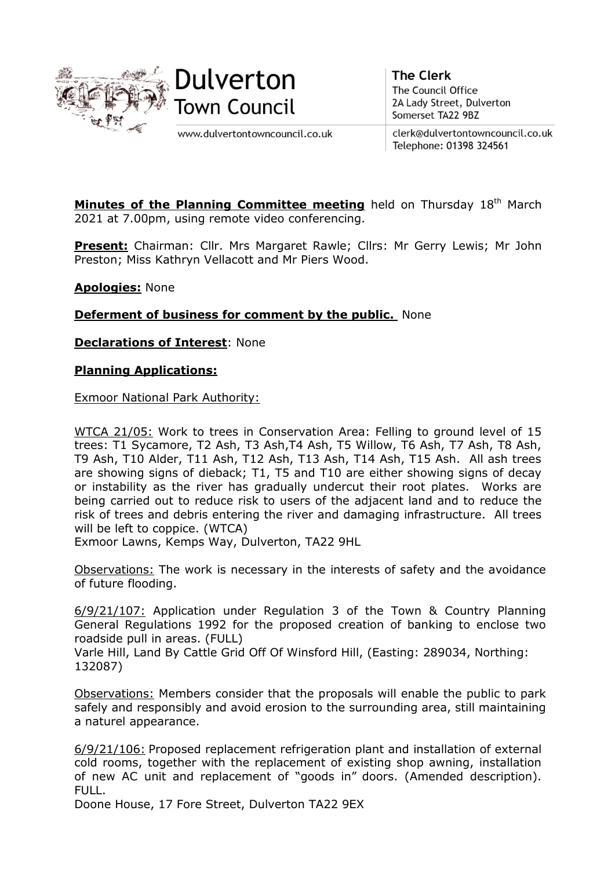



www.dulvertontowncouncil.co.uk

**The Clerk** The Council Office 2A Lady Street, Dulverton Somerset TA22 9BZ

clerk@dulvertontowncouncil.co.uk Telephone: 01398 324561

Minutes of the Planning Committee meeting held on Thursday 18<sup>th</sup> March 2021 at 7.00pm, using remote video conferencing.

**Present:** Chairman: Cllr. Mrs Margaret Rawle; Cllrs: Mr Gerry Lewis; Mr John Preston; Miss Kathryn Vellacott and Mr Piers Wood.

## **Apologies:** None

# **Deferment of business for comment by the public.** None

**Declarations of Interest**: None

## **Planning Applications:**

Exmoor National Park Authority:

WTCA 21/05: Work to trees in Conservation Area: Felling to ground level of 15 trees: T1 Sycamore, T2 Ash, T3 Ash,T4 Ash, T5 Willow, T6 Ash, T7 Ash, T8 Ash, T9 Ash, T10 Alder, T11 Ash, T12 Ash, T13 Ash, T14 Ash, T15 Ash. All ash trees are showing signs of dieback; T1, T5 and T10 are either showing signs of decay or instability as the river has gradually undercut their root plates. Works are being carried out to reduce risk to users of the adjacent land and to reduce the risk of trees and debris entering the river and damaging infrastructure. All trees will be left to coppice. (WTCA)

Exmoor Lawns, Kemps Way, Dulverton, TA22 9HL

Observations: The work is necessary in the interests of safety and the avoidance of future flooding.

6/9/21/107: Application under Regulation 3 of the Town & Country Planning General Regulations 1992 for the proposed creation of banking to enclose two roadside pull in areas. (FULL)

Varle Hill, Land By Cattle Grid Off Of Winsford Hill, (Easting: 289034, Northing: 132087)

Observations: Members consider that the proposals will enable the public to park safely and responsibly and avoid erosion to the surrounding area, still maintaining a naturel appearance.

6/9/21/106: Proposed replacement refrigeration plant and installation of external cold rooms, together with the replacement of existing shop awning, installation of new AC unit and replacement of "goods in" doors. (Amended description). FULL.

Doone House, 17 Fore Street, Dulverton TA22 9EX